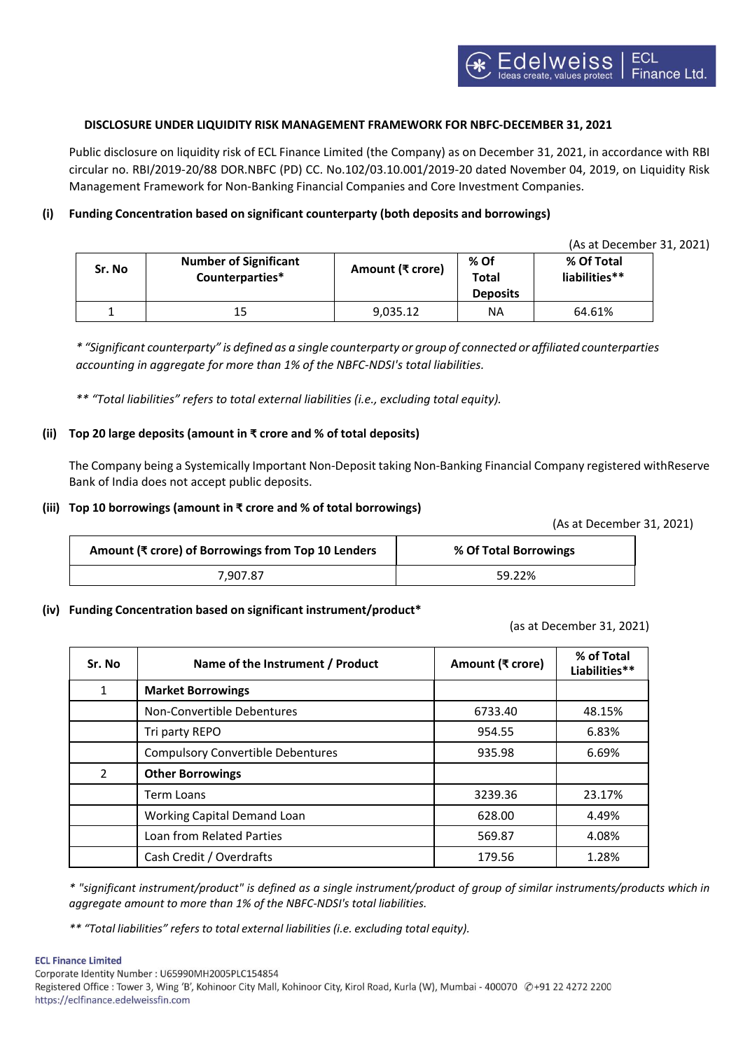#### ECL  $|{\color{red}\Theta}|$  W ${\color{red}\Theta}$  iss Finance Ltd.

# **DISCLOSURE UNDER LIQUIDITY RISK MANAGEMENT FRAMEWORK FOR NBFC-DECEMBER 31, 2021**

Public disclosure on liquidity risk of ECL Finance Limited (the Company) as on December 31, 2021, in accordance with RBI circular no. RBI/2019-20/88 DOR.NBFC (PD) CC. No.102/03.10.001/2019-20 dated November 04, 2019, on Liquidity Risk Management Framework for Non-Banking Financial Companies and Core Investment Companies.

# **(i) Funding Concentration based on significant counterparty (both deposits and borrowings)**

(As at December 31, 2021)

| Sr. No | <b>Number of Significant</b><br>Counterparties* | Amount (₹ crore) | % Of<br><b>Total</b><br><b>Deposits</b> | % Of Total<br>liabilities** |
|--------|-------------------------------------------------|------------------|-----------------------------------------|-----------------------------|
|        | 15                                              | 9.035.12         | ΝA                                      | 64.61%                      |

\* "Significant counterparty" is defined as a single counterparty or group of connected or affiliated counterparties *accounting in aggregate for more than 1% of the NBFC-NDSI's total liabilities.*

*\*\* "Total liabilities" refers to total external liabilities (i.e., excluding total equity).*

## **(ii) Top 20 large deposits (amount in ₹ crore and % of total deposits)**

The Company being a Systemically Important Non-Deposit taking Non-Banking Financial Company registered withReserve Bank of India does not accept public deposits.

### **(iii) Top 10 borrowings (amount in ₹ crore and % of total borrowings)**

(As at December 31, 2021)

| Amount (₹ crore) of Borrowings from Top 10 Lenders | % Of Total Borrowings |
|----------------------------------------------------|-----------------------|
| 7.907.87                                           | 59.22%                |

## **(iv) Funding Concentration based on significant instrument/product\***

(as at December 31, 2021)

| Sr. No        | Name of the Instrument / Product         | Amount (₹ crore) | % of Total<br>Liabilities** |
|---------------|------------------------------------------|------------------|-----------------------------|
| 1             | <b>Market Borrowings</b>                 |                  |                             |
|               | Non-Convertible Debentures               | 6733.40          | 48.15%                      |
|               | Tri party REPO                           | 954.55           | 6.83%                       |
|               | <b>Compulsory Convertible Debentures</b> | 935.98           | 6.69%                       |
| $\mathcal{P}$ | <b>Other Borrowings</b>                  |                  |                             |
|               | Term Loans                               | 3239.36          | 23.17%                      |
|               | <b>Working Capital Demand Loan</b>       | 628.00           | 4.49%                       |
|               | Loan from Related Parties                | 569.87           | 4.08%                       |
|               | Cash Credit / Overdrafts                 | 179.56           | 1.28%                       |

\* "significant instrument/product" is defined as a single instrument/product of group of similar instruments/products which in *aggregate amount to more than 1% of the NBFC-NDSI's total liabilities.*

*\*\* "Total liabilities" refers to total external liabilities (i.e. excluding total equity).*

#### **ECL Finance Limited**

Corporate Identity Number : U65990MH2005PLC154854 Registered Office : Tower 3, Wing 'B', Kohinoor City Mall, Kohinoor City, Kirol Road, Kurla (W), Mumbai - 400070 @+91 22 4272 2200 https://eclfinance.edelweissfin.com